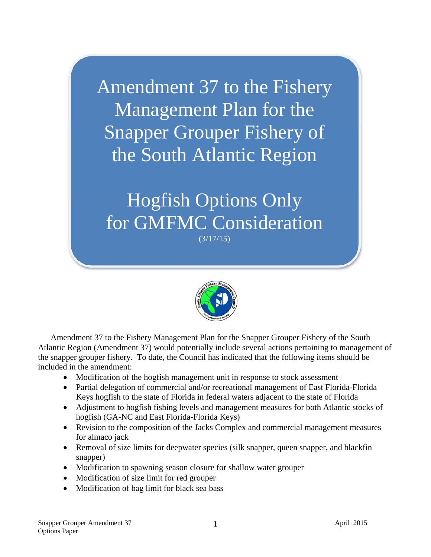Amendment 37 to the Fishery Management Plan for the Snapper Grouper Fishery of the South Atlantic Region

Hogfish Options Only for GMFMC Consideration (3/17/15)



Amendment 37 to the Fishery Management Plan for the Snapper Grouper Fishery of the South Atlantic Region (Amendment 37) would potentially include several actions pertaining to management of the snapper grouper fishery. To date, the Council has indicated that the following items should be included in the amendment:

- Modification of the hogfish management unit in response to stock assessment
- Partial delegation of commercial and/or recreational management of East Florida-Florida Keys hogfish to the state of Florida in federal waters adjacent to the state of Florida
- Adjustment to hogfish fishing levels and management measures for both Atlantic stocks of hogfish (GA-NC and East Florida-Florida Keys)
- Revision to the composition of the Jacks Complex and commercial management measures for almaco jack
- Removal of size limits for deepwater species (silk snapper, queen snapper, and blackfin snapper)
- Modification to spawning season closure for shallow water grouper
- Modification of size limit for red grouper
- Modification of bag limit for black sea bass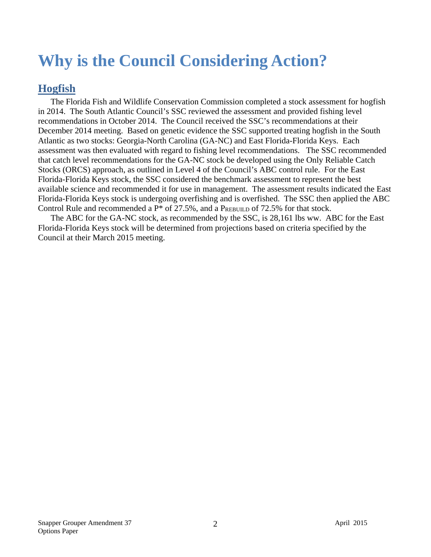# **Why is the Council Considering Action?**

### **Hogfish**

The Florida Fish and Wildlife Conservation Commission completed a stock assessment for hogfish in 2014. The South Atlantic Council's SSC reviewed the assessment and provided fishing level recommendations in October 2014. The Council received the SSC's recommendations at their December 2014 meeting. Based on genetic evidence the SSC supported treating hogfish in the South Atlantic as two stocks: Georgia-North Carolina (GA-NC) and East Florida-Florida Keys. Each assessment was then evaluated with regard to fishing level recommendations. The SSC recommended that catch level recommendations for the GA-NC stock be developed using the Only Reliable Catch Stocks (ORCS) approach, as outlined in Level 4 of the Council's ABC control rule. For the East Florida-Florida Keys stock, the SSC considered the benchmark assessment to represent the best available science and recommended it for use in management. The assessment results indicated the East Florida-Florida Keys stock is undergoing overfishing and is overfished. The SSC then applied the ABC Control Rule and recommended a  $P^*$  of 27.5%, and a  $P_{REBULL}$  of 72.5% for that stock.

The ABC for the GA-NC stock, as recommended by the SSC, is 28,161 lbs ww. ABC for the East Florida-Florida Keys stock will be determined from projections based on criteria specified by the Council at their March 2015 meeting.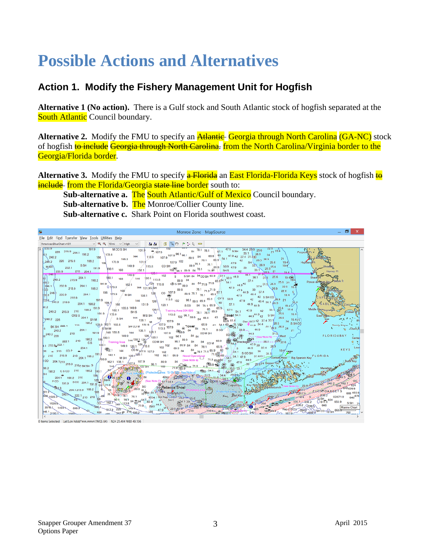## **Possible Actions and Alternatives**

#### **Action 1. Modify the Fishery Management Unit for Hogfish**

**Alternative 1 (No action).** There is a Gulf stock and South Atlantic stock of hogfish separated at the South Atlantic Council boundary.

**Alternative 2.** Modify the FMU to specify an **Atlantic** Georgia through North Carolina (GA-NC) stock of hogfish to include Georgia through North Carolina. from the North Carolina/Virginia border to the Georgia/Florida border.

**Alternative 3.** Modify the FMU to specify **a Florida** an **East Florida-Florida Keys** stock of hogfish **to include** from the Florida/Georgia state line border south to:

**Sub-alternative a.** The South Atlantic/Gulf of Mexico Council boundary.

**Sub-alternative b. The Monroe/Collier County line.** 

**Sub-alternative c.** Shark Point on Florida southwest coast.

| Monroe Zone - MapSource                                                                                                                                                                                                                                                                                                                                                                                                                                                                                                                                                                                                                                                                                                                                                                                                                                                                                                                                                                                                                                                                                                                                                                                                                                                                                                                                                                                                                                                                                                                                                                                                                                                                                                                                                                                                                                                                                                                                                                                                                                                                                                                                                                                                                                                                                                                                                                                                                                                                                                                                                                                                                                                                                                                                                                                                                                                                                                                                                                                                                                                                                                                                                                                                                                                                                                                                                                                                                                                                                                                                                                                                                                                                                                                                                                                                                                                                                                                                                                                                                                                                                                                                                                      |                                                                                                                         |
|----------------------------------------------------------------------------------------------------------------------------------------------------------------------------------------------------------------------------------------------------------------------------------------------------------------------------------------------------------------------------------------------------------------------------------------------------------------------------------------------------------------------------------------------------------------------------------------------------------------------------------------------------------------------------------------------------------------------------------------------------------------------------------------------------------------------------------------------------------------------------------------------------------------------------------------------------------------------------------------------------------------------------------------------------------------------------------------------------------------------------------------------------------------------------------------------------------------------------------------------------------------------------------------------------------------------------------------------------------------------------------------------------------------------------------------------------------------------------------------------------------------------------------------------------------------------------------------------------------------------------------------------------------------------------------------------------------------------------------------------------------------------------------------------------------------------------------------------------------------------------------------------------------------------------------------------------------------------------------------------------------------------------------------------------------------------------------------------------------------------------------------------------------------------------------------------------------------------------------------------------------------------------------------------------------------------------------------------------------------------------------------------------------------------------------------------------------------------------------------------------------------------------------------------------------------------------------------------------------------------------------------------------------------------------------------------------------------------------------------------------------------------------------------------------------------------------------------------------------------------------------------------------------------------------------------------------------------------------------------------------------------------------------------------------------------------------------------------------------------------------------------------------------------------------------------------------------------------------------------------------------------------------------------------------------------------------------------------------------------------------------------------------------------------------------------------------------------------------------------------------------------------------------------------------------------------------------------------------------------------------------------------------------------------------------------------------------------------------------------------------------------------------------------------------------------------------------------------------------------------------------------------------------------------------------------------------------------------------------------------------------------------------------------------------------------------------------------------------------------------------------------------------------------------------------------------|-------------------------------------------------------------------------------------------------------------------------|
| Eile Edit Find Transfer View Tools Utilities Help                                                                                                                                                                                                                                                                                                                                                                                                                                                                                                                                                                                                                                                                                                                                                                                                                                                                                                                                                                                                                                                                                                                                                                                                                                                                                                                                                                                                                                                                                                                                                                                                                                                                                                                                                                                                                                                                                                                                                                                                                                                                                                                                                                                                                                                                                                                                                                                                                                                                                                                                                                                                                                                                                                                                                                                                                                                                                                                                                                                                                                                                                                                                                                                                                                                                                                                                                                                                                                                                                                                                                                                                                                                                                                                                                                                                                                                                                                                                                                                                                                                                                                                                            |                                                                                                                         |
| $\vee$ Q Q 10 mi $\vee$ High $\vee$<br>Americas BlueChart v4.01<br>書書 区 Q ⑦ アンタ 罒                                                                                                                                                                                                                                                                                                                                                                                                                                                                                                                                                                                                                                                                                                                                                                                                                                                                                                                                                                                                                                                                                                                                                                                                                                                                                                                                                                                                                                                                                                                                                                                                                                                                                                                                                                                                                                                                                                                                                                                                                                                                                                                                                                                                                                                                                                                                                                                                                                                                                                                                                                                                                                                                                                                                                                                                                                                                                                                                                                                                                                                                                                                                                                                                                                                                                                                                                                                                                                                                                                                                                                                                                                                                                                                                                                                                                                                                                                                                                                                                                                                                                                            |                                                                                                                         |
| 191.9<br>102<br>7233.9<br>$113.0 -$<br>131.9 $\frac{102}{4}$ 102 $\frac{60}{3}$ 84 78.1 78.1 $\frac{3}{57.1}$ 47.9 SSH 34.4 29.9 25.6 22.6<br><b>MCOSSH</b><br>$21^{19.4}$<br>$Popoise Pt +$<br>$228$ $215.9$ $204.1$ $198.2$<br>$33.1$ $26.9$ $24$<br>144 113.8 107.9 107.9 96.1 96.1 89.9 84 65.9 60 47.9 42 37.4 31.50<br>173.9<br>240.2<br>186<br>SH 28.5 26.9 21<br>155.8<br>240.2 228 215.9 198.2 188 173.9<br>$\begin{array}{c cc}\n & 26.5 & 19.4 \\ & 331 & 28.9 & 19.4 \\ & & 33.1 & 28.5 & 21 & 19.4\n\end{array}$<br>Highland<br>S SH<br>149.9<br>65.9 50.9 47.9 39<br>MSH<br>222.1<br>191.9<br>$102\frac{1}{96.1}$ 89.9 84 $78.1$ 71.9 SHS 42<br>180.1 168<br>138.1<br>233.9 210 204.1<br>$120.1$ 102<br>S SSH 84 84 CO SH 65.9 57.1 50.9 44.9 36.1 31.5<br>$-246.1$<br>149.9<br>36.1 31.5 25.6 19.450<br>$180.1$ $168$<br>$240.2$ 215.9 $204.1$ 198.2<br>$144$ $\left[\frac{20.1}{113.8}\right]$<br>Ponce de mon Ba<br>191.9<br>162.1<br>246.1 233.9<br>204.1<br>215.9 $204.1$ 198.2 $Q$ 173.9 $192.1$<br>26.9 22.6 19.4<br>144 131.9G SH<br>39<br>l DO 1<br>168<br>$22.6$ s<br>37.4<br>204.1 $186$ $173.9$ M SH<br>$246$ <sup>1</sup> 233.9<br>$19.4$ $^{0}$<br>$\begin{array}{ccccccccc} \text{CO} & 0.9 & 0.8 & 0.9 & 70.1 & 65.9 & 71.9 & 47.9 & 42 & \text{S} \text{HCO} \\ \text{CO} & 0.7 & 0.9 & 0.9 & 0.9 & 65.9 & 65.9 & 47.9 & 42 & 40.4 & 56.9 & 21 \\ 113.8 & 102 & 96.1 & 90.9 & 65.9 & 60 & 91 & 47.9 & 44.8 & 1.2 & 56.9 & 21 \\ \end{array}$<br>215.9<br>$204.1$ 198.2 180 $\sqrt{168}$ 144 131.9 126<br>$235.0$ 240.2 215.9<br>19.4<br>60 57.1<br>$44.9$ $44.9$<br>120.1<br>SCO 84 78.1 65.9<br>19.4<br>10.2<br>2<br>240.2 215.9 210 198.2 191.9 192.1 155.8 149.9 1201 Training Aves 334.820 26.9 65.9 57.1 54.1 47.9 42 33.1 25.6 19.4<br>Middle Cape Ingraha<br>191.9 / 173.9<br>44.9 <sup>44.9</sup> <sub>42</sub> SSH $\left  \frac{25.6}{25.6} \right $ 19.4<br>$\frac{113.8}{102}$ $\frac{96.1}{89.9}$ $\frac{101}{84}$ $\frac{63}{65.9}$ $\frac{63}{84}$ $\frac{1}{65.9}$ $\frac{63}{81.4}$<br>M S SH<br>CRS S 204.1 SYM $\frac{10.9}{5}$ SSH 144 138.1 M 126<br>240.2 228<br>$\begin{bmatrix} 107.9 & 84 & 84 & 85 \\ 107.9 & 84 & 88 & 81 & 94 \\ 113.8 & 107.9 & 69 & 14 & 5.9 & 14.9 \\ 113.8 & 107.9 & 69 & 14 & 78.1 & 80 \\ 113.8 & 107.9 & 69 & 14 & 78.1 & 80 \\ 107.9 & 698.9 & 44 & 50.1 & 60 \\ 107.9 & 698.9 & 44 & 60 & 60 \\ 107.9 & 698.9 & 44 & 60$<br>198.2 173,9 182.1 155.8<br>SH CO M $\begin{bmatrix} 131.9 \\ -113.8 \end{bmatrix}$ $\begin{bmatrix} 107.9 \\ 113.8 \end{bmatrix}$ $\begin{bmatrix} 34 \\ -12.8 \end{bmatrix}$ $\begin{bmatrix} 0 \\ 0 \end{bmatrix}$<br>BK SH 222.1 210<br>S SH M<br>204.1<br>240.2<br>$191.9$ $\begin{pmatrix} 168 & 155.8 \\ 168 & 155.8 \end{pmatrix}$ $144$ $\begin{pmatrix} 138.1 & 120.1 & 107.9 \\ 138.1 & 120.1 & 107.9 \end{pmatrix}$<br>$\begin{picture}(10,10) \put(0,0){\line(1,0){10}} \put(0,0){\line(1,0){10}} \put(0,0){\line(1,0){10}} \put(0,0){\line(1,0){10}} \put(0,0){\line(1,0){10}} \put(0,0){\line(1,0){10}} \put(0,0){\line(1,0){10}} \put(0,0){\line(1,0){10}} \put(0,0){\line(1,0){10}} \put(0,0){\line(1,0){10}} \put(0,0){\line(1,0){10}} \put(0,0){\line(1,0){10}} \put(0,$<br>210<br>$1^{240.2}$ 228<br>210 198.2 189 189.1 149.9 128 128 129.1 107.9 108.2 189.1 161.1 161.1 161.1 161.1 161.1 161.1 161.1 161.1 161<br>102 96.1<br>222.1 210 198.2 186<br>96.1 $89.9$ 84 84 COM $69$<br>$180.1$ $149.9$ $120.1$ $126$ $13.8$ $102$ $102$ $89.9$<br>$1215.9 - 222.1$<br>204.1 <b>144</b> $\overline{60}M_{107.9}$ 107.9 102<br>89.9 M = 4 78.1 85.9 60 5 44.9 30 <sup>7.4</sup> 57<br>89.9 Novel Operations 71.9 85.9 60 5 44.9 30 <sup>7.4</sup> 577<br>89.9 Novel Operations 71.9 85.9 60 54.1 47.9 44.9 77433.1 31.5 Content Keys = Bus Spanish Key FLORIDA<br>84 (See Note a) - 71.9<br>$28 + 210$ COP +<br>$\frac{2}{2}$ 210 215.9 210 204.1 198.2 $\frac{191.9}{2}$ 162.1<br>M SH $^{120.1}$ 102 96.1 89.9 Noval Operational<br>Bahia Motassas<br>Key World Stadtobunch TSee Note D. 220 PM SAMO 2402<br><b>CONTRACTOR</b> COMPANY<br>Rep. (1971) (1978) 400 (1984) 1- 8879 (1987) 5872 (1987) 1987 (1988) 1- 8879 (1988) 1- 8879 (1988) 1- 8879 (198 | Hamey R<br>Sandy Key +<br>o Cluett<br>FLORIDABAY<br>0, 7<br>KEYS LOW<br>- Duck Key<br>+648 629.9<br><b>Marine Chart</b> |

,<br>0 Items Selected Lat/Lon hddd\*mm.mmm'(WGS 84) N24 25.404 W80 49.136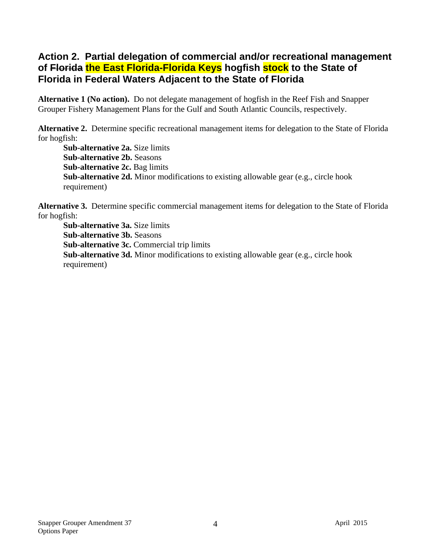#### **Action 2. Partial delegation of commercial and/or recreational management of Florida the East Florida-Florida Keys hogfish stock to the State of Florida in Federal Waters Adjacent to the State of Florida**

**Alternative 1 (No action).** Do not delegate management of hogfish in the Reef Fish and Snapper Grouper Fishery Management Plans for the Gulf and South Atlantic Councils, respectively.

**Alternative 2.** Determine specific recreational management items for delegation to the State of Florida for hogfish:

**Sub-alternative 2a.** Size limits **Sub-alternative 2b.** Seasons **Sub-alternative 2c.** Bag limits **Sub-alternative 2d.** Minor modifications to existing allowable gear (e.g., circle hook requirement)

**Alternative 3.** Determine specific commercial management items for delegation to the State of Florida for hogfish:

**Sub-alternative 3a.** Size limits **Sub-alternative 3b.** Seasons **Sub-alternative 3c.** Commercial trip limits **Sub-alternative 3d.** Minor modifications to existing allowable gear (e.g., circle hook requirement)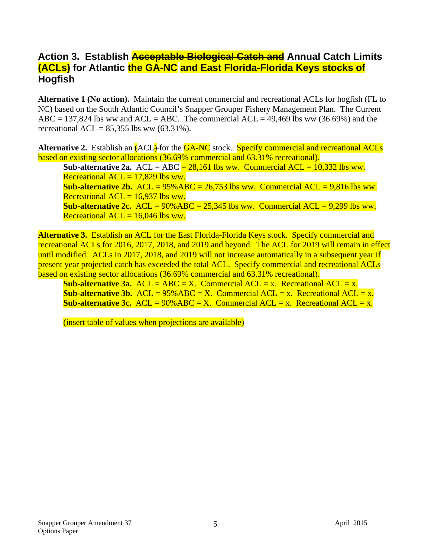#### **Action 3. Establish Acceptable Biological Catch and Annual Catch Limits (ACLs) for Atlantic the GA-NC and East Florida-Florida Keys stocks of Hogfish**

**Alternative 1 (No action).** Maintain the current commercial and recreational ACLs for hogfish (FL to NC) based on the South Atlantic Council's Snapper Grouper Fishery Management Plan. The Current ABC = 137,824 lbs ww and ACL = ABC. The commercial ACL = 49,469 lbs ww (36.69%) and the recreational ACL =  $85,355$  lbs ww  $(63.31\%)$ .

Alternative 2. Establish an  $\overline{A}$  CL<sub>2</sub> for the GA-NC stock. Specify commercial and recreational ACLs based on existing sector allocations (36.69% commercial and 63.31% recreational).

**Sub-alternative 2a.** ACL = ABC =  $28,161$  lbs ww. Commercial ACL =  $10,332$  lbs ww. Recreational  $ACL = 17,829$  lbs ww.

**Sub-alternative 2b.** ACL =  $95\%$  ABC =  $26,753$  lbs ww. Commercial ACL =  $9,816$  lbs ww. Recreational  $ACL = 16,937$  lbs ww.

**Sub-alternative 2c.** ACL =  $90\%$  ABC =  $25,345$  lbs ww. Commercial ACL =  $9,299$  lbs ww. Recreational  $ACL = 16,046$  lbs ww.

**Alternative 3.** Establish an ACL for the East Florida-Florida Keys stock. Specify commercial and recreational ACLs for 2016, 2017, 2018, and 2019 and beyond. The ACL for 2019 will remain in effect until modified. ACLs in 2017, 2018, and 2019 will not increase automatically in a subsequent year if present year projected catch has exceeded the total ACL. Specify commercial and recreational ACLs based on existing sector allocations (36.69% commercial and 63.31% recreational).

**Sub-alternative 3a.**  $ACL = ABC = X$ . Commercial  $ACL = x$ . Recreational  $ACL = x$ . **Sub-alternative 3b.** ACL =  $95\%$  ABC = X. Commercial ACL = x. Recreational ACL = x. **Sub-alternative 3c.** ACL =  $90\%$  ABC = X. Commercial ACL = x. Recreational ACL = x.

(insert table of values when projections are available)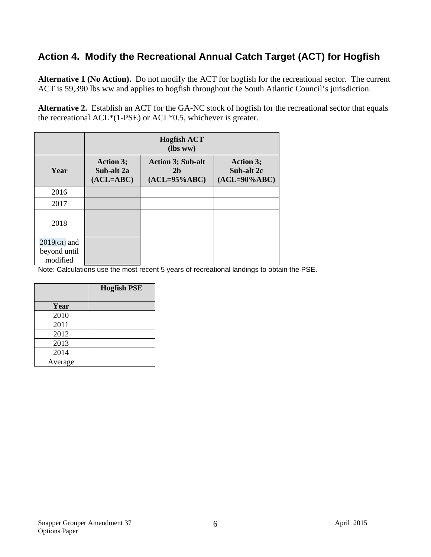### **Action 4. Modify the Recreational Annual Catch Target (ACT) for Hogfish**

**Alternative 1 (No Action).** Do not modify the ACT for hogfish for the recreational sector. The current ACT is 59,390 lbs ww and applies to hogfish throughout the South Atlantic Council's jurisdiction.

**Alternative 2.** Establish an ACT for the GA-NC stock of hogfish for the recreational sector that equals the recreational ACL\*(1-PSE) or ACL\*0.5, whichever is greater.

|                                             | <b>Hogfish ACT</b><br>(lbs ww)                |                                                               |                                                   |  |
|---------------------------------------------|-----------------------------------------------|---------------------------------------------------------------|---------------------------------------------------|--|
| Year                                        | <b>Action 3;</b><br>Sub-alt 2a<br>$(ACL=ABC)$ | <b>Action 3; Sub-alt</b><br>2 <sub>b</sub><br>$(ACL=95\%ABC)$ | <b>Action 3;</b><br>Sub-alt 2c<br>$(ACL=90\%ABC)$ |  |
| 2016                                        |                                               |                                                               |                                                   |  |
| 2017                                        |                                               |                                                               |                                                   |  |
| 2018                                        |                                               |                                                               |                                                   |  |
| $2019$ [G1] and<br>beyond until<br>modified |                                               |                                                               |                                                   |  |

Note: Calculations use the most recent 5 years of recreational landings to obtain the PSE.

|         | <b>Hogfish PSE</b> |
|---------|--------------------|
| Year    |                    |
| 2010    |                    |
| 2011    |                    |
| 2012    |                    |
| 2013    |                    |
| 2014    |                    |
| Average |                    |